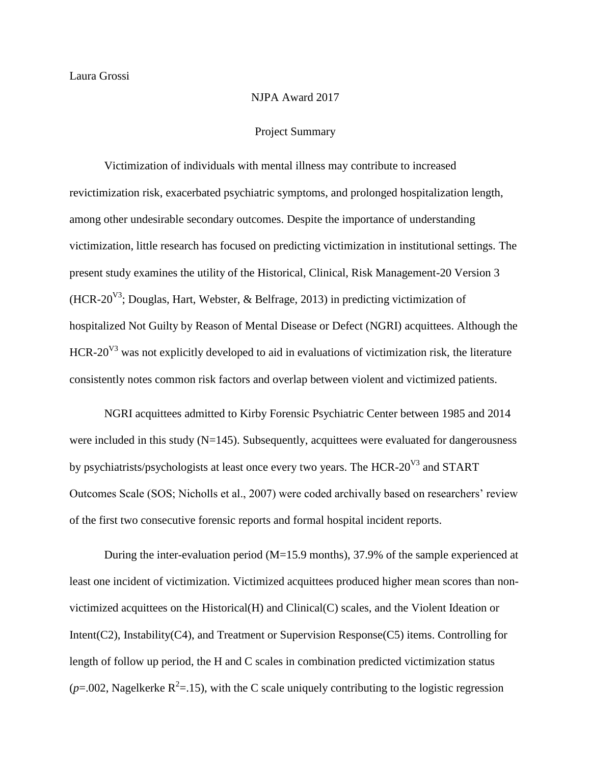## NJPA Award 2017

## Project Summary

Victimization of individuals with mental illness may contribute to increased revictimization risk, exacerbated psychiatric symptoms, and prolonged hospitalization length, among other undesirable secondary outcomes. Despite the importance of understanding victimization, little research has focused on predicting victimization in institutional settings. The present study examines the utility of the Historical, Clinical, Risk Management-20 Version 3 (HCR-20<sup>V3</sup>; Douglas, Hart, Webster, & Belfrage, 2013) in predicting victimization of hospitalized Not Guilty by Reason of Mental Disease or Defect (NGRI) acquittees. Although the HCR-20<sup>V3</sup> was not explicitly developed to aid in evaluations of victimization risk, the literature consistently notes common risk factors and overlap between violent and victimized patients.

NGRI acquittees admitted to Kirby Forensic Psychiatric Center between 1985 and 2014 were included in this study (N=145). Subsequently, acquittees were evaluated for dangerousness by psychiatrists/psychologists at least once every two years. The HCR-20<sup>V3</sup> and START Outcomes Scale (SOS; Nicholls et al., 2007) were coded archivally based on researchers' review of the first two consecutive forensic reports and formal hospital incident reports.

During the inter-evaluation period (M=15.9 months), 37.9% of the sample experienced at least one incident of victimization. Victimized acquittees produced higher mean scores than nonvictimized acquittees on the Historical(H) and Clinical(C) scales, and the Violent Ideation or Intent(C2), Instability(C4), and Treatment or Supervision Response(C5) items. Controlling for length of follow up period, the H and C scales in combination predicted victimization status  $(p=0.002)$ , Nagelkerke R<sup>2</sup>=.15), with the C scale uniquely contributing to the logistic regression